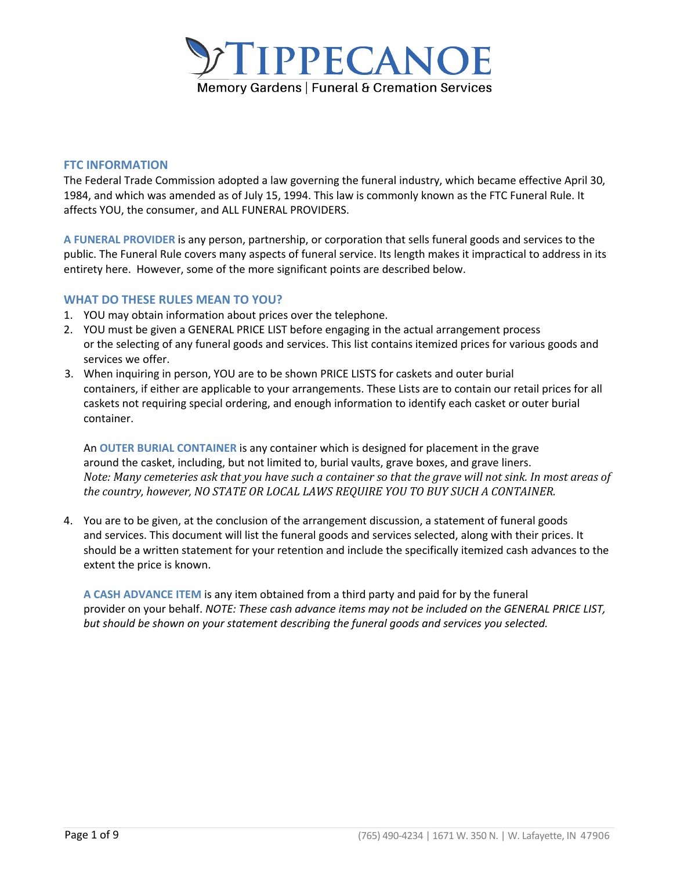

## **FTC INFORMATION**

The Federal Trade Commission adopted a law governing the funeral industry, which became effective April 30, 1984, and which was amended as of July 15, 1994. This law is commonly known as the FTC Funeral Rule. It affects YOU, the consumer, and ALL FUNERAL PROVIDERS.

**A FUNERAL PROVIDER** is any person, partnership, or corporation that sells funeral goods and services to the public. The Funeral Rule covers many aspects of funeral service. Its length makes it impractical to address in its entirety here. However, some of the more significant points are described below.

# **WHAT DO THESE RULES MEAN TO YOU?**

- 1. YOU may obtain information about prices over the telephone.
- 2. YOU must be given a GENERAL PRICE LIST before engaging in the actual arrangement process or the selecting of any funeral goods and services. This list contains itemized prices for various goods and services we offer.
- 3. When inquiring in person, YOU are to be shown PRICE LISTS for caskets and outer burial containers, if either are applicable to your arrangements. These Lists are to contain our retail prices for all caskets not requiring special ordering, and enough information to identify each casket or outer burial container.

An **OUTER BURIAL CONTAINER** is any container which is designed for placement in the grave around the casket, including, but not limited to, burial vaults, grave boxes, and grave liners. *Note: Many cemeteries ask that you have such a container so that the grave will not sink. In most areas of the country, however, NO STATE OR LOCAL LAWS REQUIRE YOU TO BUY SUCH A CONTAINER.* 

4. You are to be given, at the conclusion of the arrangement discussion, a statement of funeral goods and services. This document will list the funeral goods and services selected, along with their prices. It should be a written statement for your retention and include the specifically itemized cash advances to the extent the price is known.

**A CASH ADVANCE ITEM** is any item obtained from a third party and paid for by the funeral provider on your behalf. *NOTE: These cash advance items may not be included on the GENERAL PRICE LIST, but should be shown on your statement describing the funeral goods and services you selected.*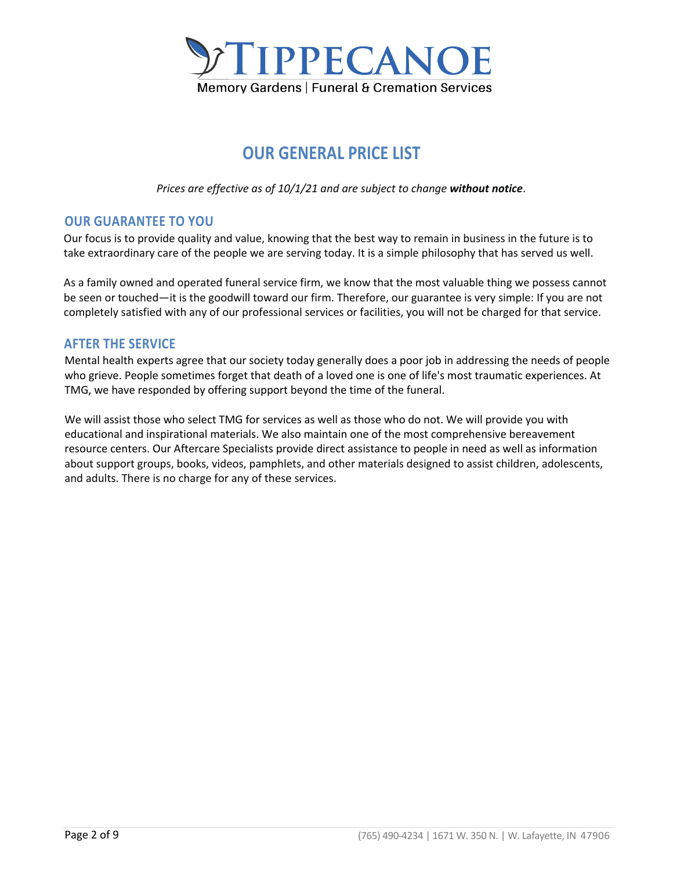

# **OUR GENERAL PRICE LIST**

*Prices are effective as of 10/1/21 and are subject to change without notice*.

# **OUR GUARANTEE TO YOU**

Our focus is to provide quality and value, knowing that the best way to remain in business in the future is to take extraordinary care of the people we are serving today. It is a simple philosophy that has served us well.

As a family owned and operated funeral service firm, we know that the most valuable thing we possess cannot be seen or touched—it is the goodwill toward our firm. Therefore, our guarantee is very simple: If you are not completely satisfied with any of our professional services or facilities, you will not be charged for that service.

# **AFTER THE SERVICE**

Mental health experts agree that our society today generally does a poor job in addressing the needs of people who grieve. People sometimes forget that death of a loved one is one of life's most traumatic experiences. At TMG, we have responded by offering support beyond the time of the funeral.

We will assist those who select TMG for services as well as those who do not. We will provide you with educational and inspirational materials. We also maintain one of the most comprehensive bereavement resource centers. Our Aftercare Specialists provide direct assistance to people in need as well as information about support groups, books, videos, pamphlets, and other materials designed to assist children, adolescents, and adults. There is no charge for any of these services.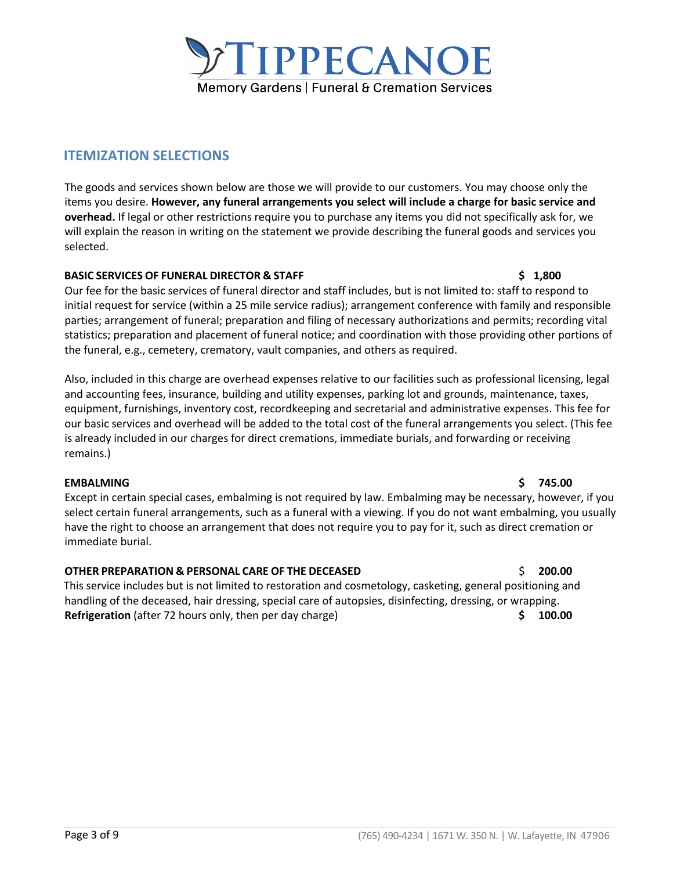# **OTHER PREPARATION & PERSONAL CARE OF THE DECEASED** \$ **200.00**

This service includes but is not limited to restoration and cosmetology, casketing, general positioning and handling of the deceased, hair dressing, special care of autopsies, disinfecting, dressing, or wrapping. **Refrigeration** (after 72 hours only, then per day charge) **\$ 100.00**

remains.)

**EMBALMING \$ 745.00** Except in certain special cases, embalming is not required by law. Embalming may be necessary, however, if you select certain funeral arrangements, such as a funeral with a viewing. If you do not want embalming, you usually have the right to choose an arrangement that does not require you to pay for it, such as direct cremation or immediate burial.

Our fee for the basic services of funeral director and staff includes, but is not limited to: staff to respond to initial request for service (within a 25 mile service radius); arrangement conference with family and responsible parties; arrangement of funeral; preparation and filing of necessary authorizations and permits; recording vital statistics; preparation and placement of funeral notice; and coordination with those providing other portions of the funeral, e.g., cemetery, crematory, vault companies, and others as required.

Also, included in this charge are overhead expenses relative to our facilities such as professional licensing, legal and accounting fees, insurance, building and utility expenses, parking lot and grounds, maintenance, taxes, equipment, furnishings, inventory cost, recordkeeping and secretarial and administrative expenses. This fee for our basic services and overhead will be added to the total cost of the funeral arrangements you select. (This fee

is already included in our charges for direct cremations, immediate burials, and forwarding or receiving

will explain the reason in writing on the statement we provide describing the funeral goods and services you selected. **BASIC SERVICES OF FUNERAL DIRECTOR & STAFF \$ 1,800**

The goods and services shown below are those we will provide to our customers. You may choose only the items you desire. **However, any funeral arrangements you select will include a charge for basic service and overhead.** If legal or other restrictions require you to purchase any items you did not specifically ask for, we

# **ITEMIZATION SELECTIONS**

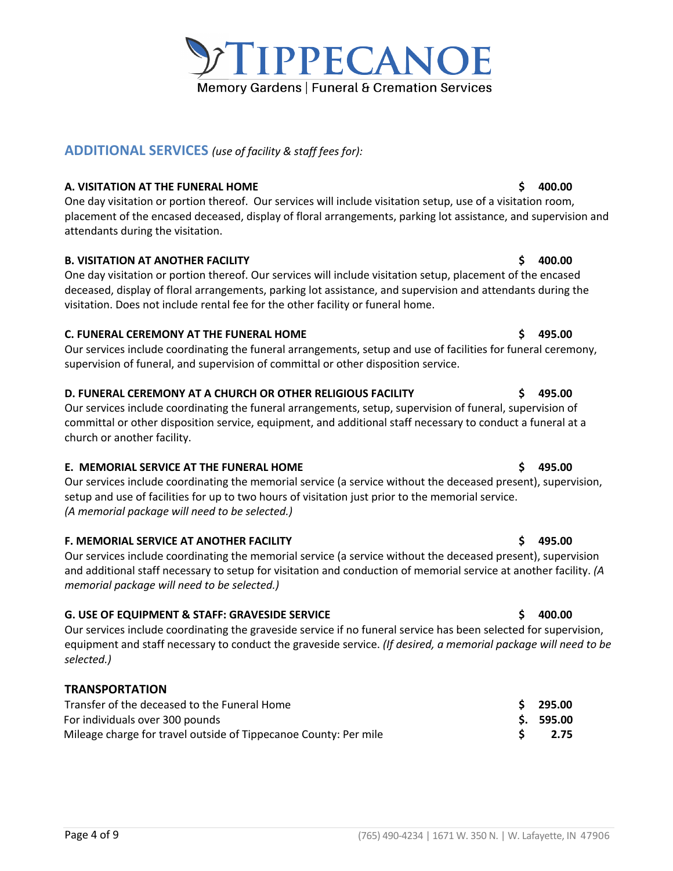# **F. MEMORIAL SERVICE AT ANOTHER FACILITY \$ 495.00**

Our services include coordinating the memorial service (a service without the deceased present), supervision and additional staff necessary to setup for visitation and conduction of memorial service at another facility. *(A memorial package will need to be selected.)*

# **G. USE OF EQUIPMENT & STAFF: GRAVESIDE SERVICE \$ 400.00**

Our services include coordinating the graveside service if no funeral service has been selected for supervision, equipment and staff necessary to conduct the graveside service. *(If desired, a memorial package will need to be selected.)*

# **TRANSPORTATION**

| Transfer of the deceased to the Funeral Home                     | \$295.00   |
|------------------------------------------------------------------|------------|
| For individuals over 300 pounds                                  | \$. 595.00 |
| Mileage charge for travel outside of Tippecanoe County: Per mile | 2.75       |

# **ADDITIONAL SERVICES** *(use of facility & staff fees for):*

## **A. VISITATION AT THE FUNERAL HOME \$ 400.00**

One day visitation or portion thereof. Our services will include visitation setup, use of a visitation room, placement of the encased deceased, display of floral arrangements, parking lot assistance, and supervision and attendants during the visitation.

## **B. VISITATION AT ANOTHER FACILITY \$ 400.00**

One day visitation or portion thereof. Our services will include visitation setup, placement of the encased deceased, display of floral arrangements, parking lot assistance, and supervision and attendants during the visitation. Does not include rental fee for the other facility or funeral home.

## **C. FUNERAL CEREMONY AT THE FUNERAL HOME \$ 495.00**

Our services include coordinating the funeral arrangements, setup and use of facilities for funeral ceremony, supervision of funeral, and supervision of committal or other disposition service.

## **D. FUNERAL CEREMONY AT A CHURCH OR OTHER RELIGIOUS FACILITY \$ 495.00**

Our services include coordinating the funeral arrangements, setup, supervision of funeral, supervision of committal or other disposition service, equipment, and additional staff necessary to conduct a funeral at a church or another facility.

## **E. MEMORIAL SERVICE AT THE FUNERAL HOME \$ 495.00**

Our services include coordinating the memorial service (a service without the deceased present), supervision, setup and use of facilities for up to two hours of visitation just prior to the memorial service. *(A memorial package will need to be selected.)* 

# **Page 4 of 9** (765) 490-4234 | 1671 W. 350 N. | W. Lafayette, IN 47906

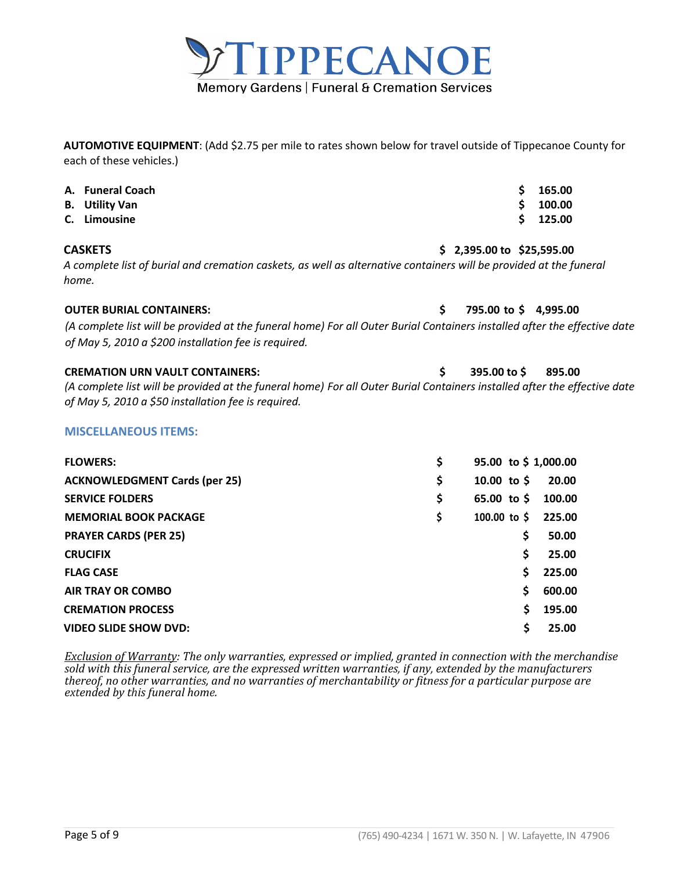

**AUTOMOTIVE EQUIPMENT**: (Add \$2.75 per mile to rates shown below for travel outside of Tippecanoe County for each of these vehicles.)

| В.<br>C. Limousine | A. Funeral Coach<br><b>Utility Van</b>                                                                                                                                                                                     |                                    | \$<br>\$<br>Ś | 165.00<br>100.00<br>125.00 |  |
|--------------------|----------------------------------------------------------------------------------------------------------------------------------------------------------------------------------------------------------------------------|------------------------------------|---------------|----------------------------|--|
| <b>CASKETS</b>     | A complete list of burial and cremation caskets, as well as alternative containers will be provided at the funeral                                                                                                         | $$2,395.00 \text{ to } $25,595.00$ |               |                            |  |
| home.              |                                                                                                                                                                                                                            |                                    |               |                            |  |
|                    | <b>OUTER BURIAL CONTAINERS:</b>                                                                                                                                                                                            | \$                                 |               | 795.00 to \$4,995.00       |  |
|                    | (A complete list will be provided at the funeral home) For all Outer Burial Containers installed after the effective date<br>of May 5, 2010 a \$200 installation fee is required.                                          |                                    |               |                            |  |
|                    | <b>CREMATION URN VAULT CONTAINERS:</b><br>(A complete list will be provided at the funeral home) For all Outer Burial Containers installed after the effective date<br>of May 5, 2010 a \$50 installation fee is required. | \$<br>395.00 to \$                 |               | 895.00                     |  |
|                    | <b>MISCELLANEOUS ITEMS:</b>                                                                                                                                                                                                |                                    |               |                            |  |
| <b>FLOWERS:</b>    |                                                                                                                                                                                                                            | \$                                 |               | 95.00 to \$1,000.00        |  |
|                    | <b>ACKNOWLEDGMENT Cards (per 25)</b>                                                                                                                                                                                       | \$<br>10.00 to $$$                 |               | 20.00                      |  |
|                    | <b>SERVICE FOLDERS</b>                                                                                                                                                                                                     | \$<br>65.00 to $$$                 |               | 100.00                     |  |
|                    | <b>MEMORIAL BOOK PACKAGE</b>                                                                                                                                                                                               | \$<br>100.00 to $\frac{1}{2}$      |               | 225.00                     |  |
|                    | <b>PRAYER CARDS (PER 25)</b>                                                                                                                                                                                               |                                    | \$            | 50.00                      |  |
| <b>CRUCIFIX</b>    |                                                                                                                                                                                                                            |                                    | \$            | 25.00                      |  |
| <b>FLAG CASE</b>   |                                                                                                                                                                                                                            |                                    | \$            | 225.00                     |  |
|                    | <b>AIR TRAY OR COMBO</b>                                                                                                                                                                                                   |                                    | \$            | 600.00                     |  |
|                    | <b>CREMATION PROCESS</b>                                                                                                                                                                                                   |                                    | \$            | 195.00                     |  |
|                    | <b>VIDEO SLIDE SHOW DVD:</b>                                                                                                                                                                                               |                                    | \$            | 25.00                      |  |

*Exclusion of Warranty:* The only warranties, expressed or implied, granted in connection with the merchandise sold with this funeral service, are the expressed written warranties, if any, extended by the manufacturers thereof, no other warranties, and no warranties of merchantability or fitness for a particular purpose are *extended by this funeral home.*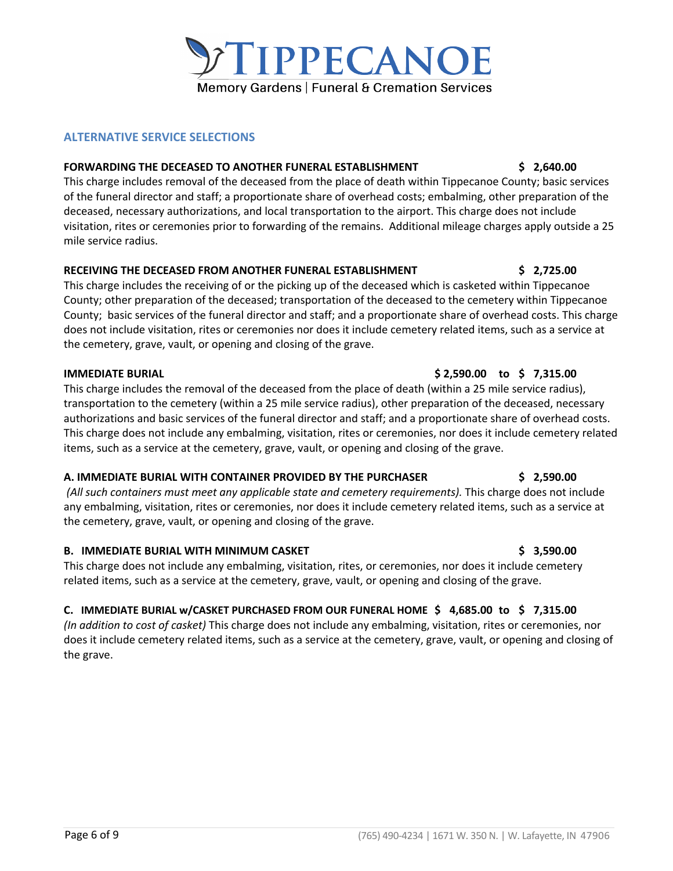# **ALTERNATIVE SERVICE SELECTIONS**

## **FORWARDING THE DECEASED TO ANOTHER FUNERAL ESTABLISHMENT \$ 2,640.00**

This charge includes removal of the deceased from the place of death within Tippecanoe County; basic services of the funeral director and staff; a proportionate share of overhead costs; embalming, other preparation of the deceased, necessary authorizations, and local transportation to the airport. This charge does not include visitation, rites or ceremonies prior to forwarding of the remains. Additional mileage charges apply outside a 25 mile service radius.

# **RECEIVING THE DECEASED FROM ANOTHER FUNERAL ESTABLISHMENT \$ 2,725.00**

This charge includes the receiving of or the picking up of the deceased which is casketed within Tippecanoe County; other preparation of the deceased; transportation of the deceased to the cemetery within Tippecanoe County; basic services of the funeral director and staff; and a proportionate share of overhead costs. This charge does not include visitation, rites or ceremonies nor does it include cemetery related items, such as a service at the cemetery, grave, vault, or opening and closing of the grave.

## **IMMEDIATE BURIAL \$ 2,590.00 to \$ 7,315.00**

This charge includes the removal of the deceased from the place of death (within a 25 mile service radius), transportation to the cemetery (within a 25 mile service radius), other preparation of the deceased, necessary authorizations and basic services of the funeral director and staff; and a proportionate share of overhead costs. This charge does not include any embalming, visitation, rites or ceremonies, nor does it include cemetery related items, such as a service at the cemetery, grave, vault, or opening and closing of the grave.

# **A. IMMEDIATE BURIAL WITH CONTAINER PROVIDED BY THE PURCHASER \$ 2,590.00**

*(All such containers must meet any applicable state and cemetery requirements).* This charge does not include any embalming, visitation, rites or ceremonies, nor does it include cemetery related items, such as a service at the cemetery, grave, vault, or opening and closing of the grave.

# **B. IMMEDIATE BURIAL WITH MINIMUM CASKET \$ 3,590.00**

This charge does not include any embalming, visitation, rites, or ceremonies, nor does it include cemetery related items, such as a service at the cemetery, grave, vault, or opening and closing of the grave.

# **C. IMMEDIATE BURIAL w/CASKET PURCHASED FROM OUR FUNERAL HOME \$ 4,685.00 to \$ 7,315.00**

*(In addition to cost of casket)* This charge does not include any embalming, visitation, rites or ceremonies, nor does it include cemetery related items, such as a service at the cemetery, grave, vault, or opening and closing of the grave.

# TIPPECANOE **Memory Gardens | Funeral & Cremation Services**

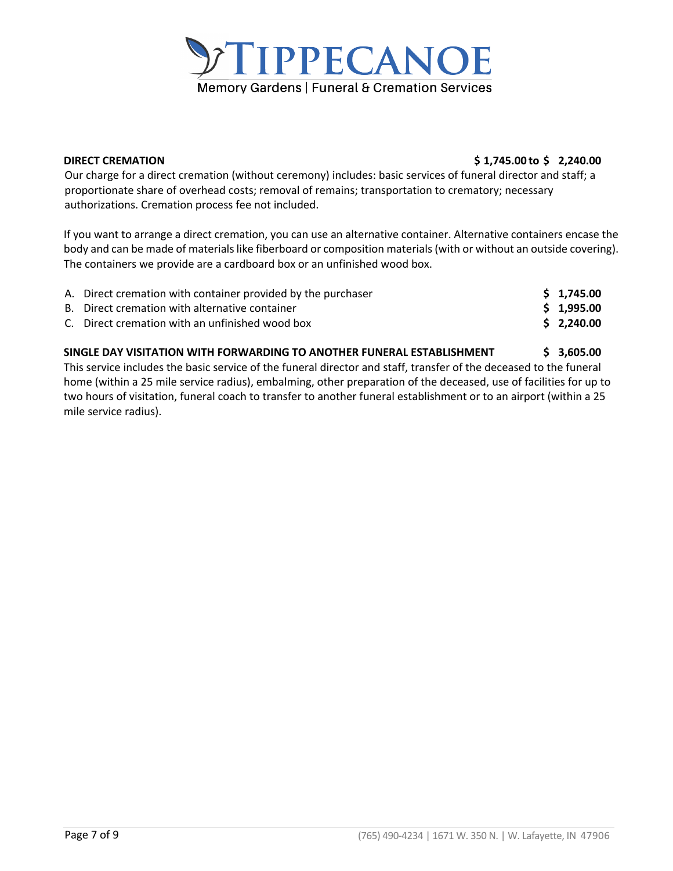

## **DIRECT CREMATION \$ 1,745.00 to \$ 2,240.00**

Our charge for a direct cremation (without ceremony) includes: basic services of funeral director and staff; a proportionate share of overhead costs; removal of remains; transportation to crematory; necessary authorizations. Cremation process fee not included.

If you want to arrange a direct cremation, you can use an alternative container. Alternative containers encase the body and can be made of materials like fiberboard or composition materials (with or without an outside covering). The containers we provide are a cardboard box or an unfinished wood box.

| A. Direct cremation with container provided by the purchaser | \$1,745.00  |
|--------------------------------------------------------------|-------------|
| B. Direct cremation with alternative container               | \$1.995.00  |
| C. Direct cremation with an unfinished wood box              | \$ 2.240.00 |

# **SINGLE DAY VISITATION WITH FORWARDING TO ANOTHER FUNERAL ESTABLISHMENT \$ 3,605.00**  This service includes the basic service of the funeral director and staff, transfer of the deceased to the funeral

home (within a 25 mile service radius), embalming, other preparation of the deceased, use of facilities for up to two hours of visitation, funeral coach to transfer to another funeral establishment or to an airport (within a 25 mile service radius).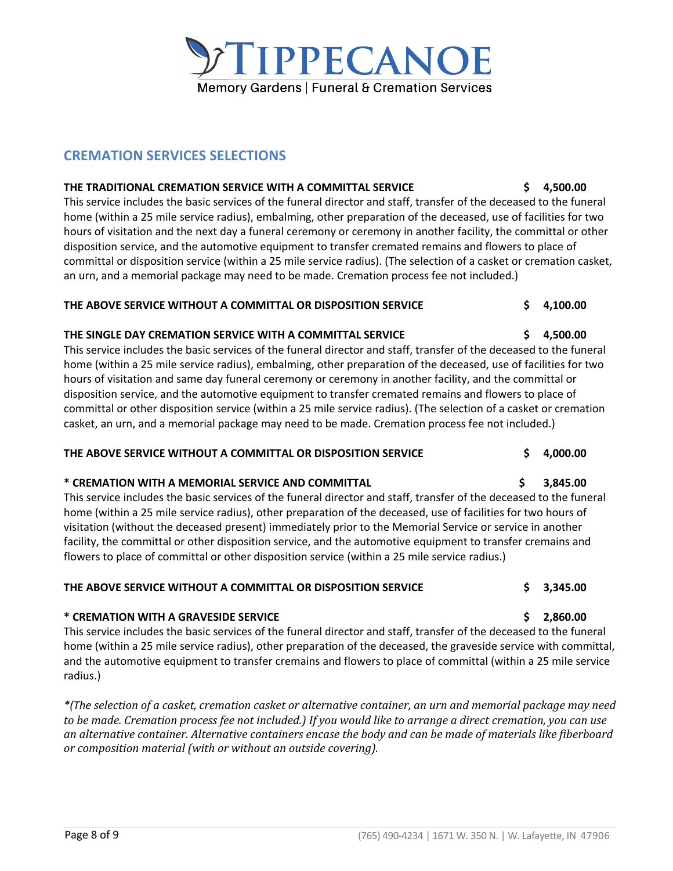# **CREMATION SERVICES SELECTIONS**

# **THE TRADITIONAL CREMATION SERVICE WITH A COMMITTAL SERVICE \$ 4,500.00**

This service includes the basic services of the funeral director and staff, transfer of the deceased to the funeral home (within a 25 mile service radius), embalming, other preparation of the deceased, use of facilities for two hours of visitation and the next day a funeral ceremony or ceremony in another facility, the committal or other disposition service, and the automotive equipment to transfer cremated remains and flowers to place of committal or disposition service (within a 25 mile service radius). (The selection of a casket or cremation casket, an urn, and a memorial package may need to be made. Cremation process fee not included.)

**TIPPECANOE** 

Memory Gardens | Funeral & Cremation Services

# **THE ABOVE SERVICE WITHOUT A COMMITTAL OR DISPOSITION SERVICE \$ 4,100.00**

# **THE SINGLE DAY CREMATION SERVICE WITH A COMMITTAL SERVICE \$ 4,500.00**

This service includes the basic services of the funeral director and staff, transfer of the deceased to the funeral home (within a 25 mile service radius), embalming, other preparation of the deceased, use of facilities for two hours of visitation and same day funeral ceremony or ceremony in another facility, and the committal or disposition service, and the automotive equipment to transfer cremated remains and flowers to place of committal or other disposition service (within a 25 mile service radius). (The selection of a casket or cremation casket, an urn, and a memorial package may need to be made. Cremation process fee not included.)

# **THE ABOVE SERVICE WITHOUT A COMMITTAL OR DISPOSITION SERVICE \$ 4,000.00**

# **\* CREMATION WITH A MEMORIAL SERVICE AND COMMITTAL \$ 3,845.00**

This service includes the basic services of the funeral director and staff, transfer of the deceased to the funeral home (within a 25 mile service radius), other preparation of the deceased, use of facilities for two hours of visitation (without the deceased present) immediately prior to the Memorial Service or service in another facility, the committal or other disposition service, and the automotive equipment to transfer cremains and flowers to place of committal or other disposition service (within a 25 mile service radius.)

# **THE ABOVE SERVICE WITHOUT A COMMITTAL OR DISPOSITION SERVICE \$ 3,345.00**

# **\* CREMATION WITH A GRAVESIDE SERVICE \$ 2,860.00**

This service includes the basic services of the funeral director and staff, transfer of the deceased to the funeral home (within a 25 mile service radius), other preparation of the deceased, the graveside service with committal, and the automotive equipment to transfer cremains and flowers to place of committal (within a 25 mile service radius.)

*\*(The selection of a casket, cremation casket or alternative container, an urn and memorial package may need*  to be made. Cremation process fee not included.) If you would like to arrange a direct cremation, you can use *an alternative container. Alternative containers encase the body and can be made of materials like fiberboard or* composition material (with or without an outside covering).

# **Page 8 of 9** (765) 490-4234 | 1671 W. 350 N. | W. Lafayette, IN 47906